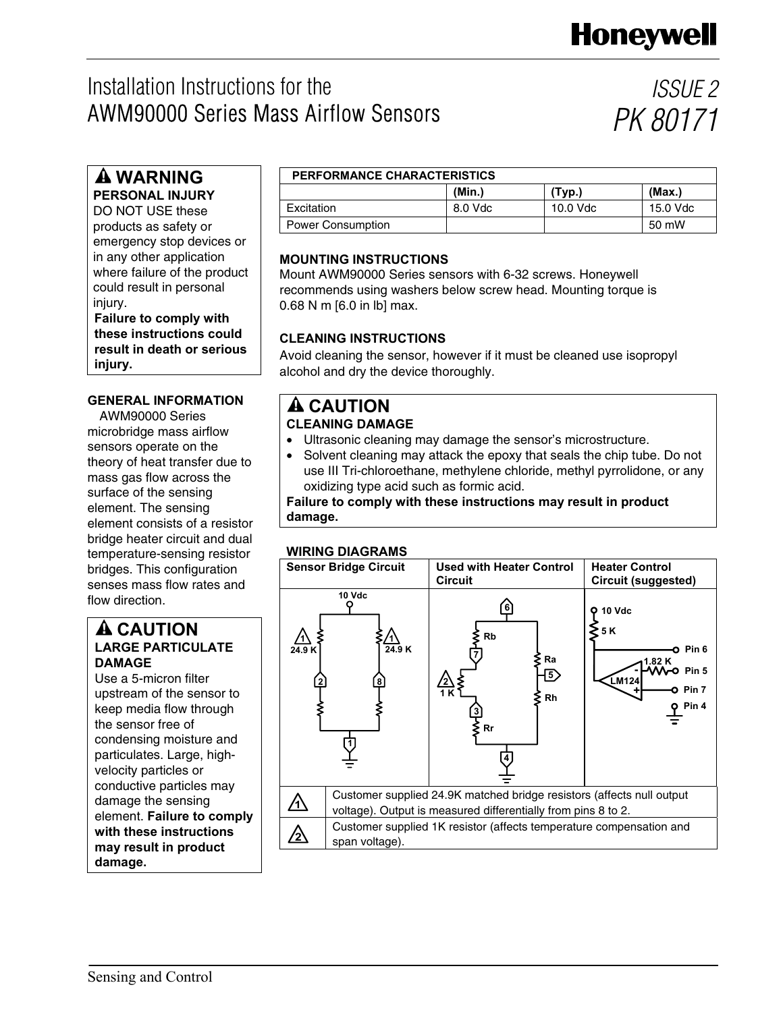# Installation Instructions for the AWM90000 Series Mass Airflow Sensors

*ISSUE 2 PK 80171*

## **WARNING**

**PERSONAL INJURY** 

DO NOT USE these products as safety or emergency stop devices or in any other application where failure of the product could result in personal injury.

**Failure to comply with these instructions could result in death or serious injury.** 

## **GENERAL INFORMATION A CAUTION**

AWM90000 Series microbridge mass airflow sensors operate on the theory of heat transfer due to mass gas flow across the surface of the sensing element. The sensing element consists of a resistor bridge heater circuit and dual temperature-sensing resistor bridges. This configuration senses mass flow rates and flow direction.

## **A CAUTION LARGE PARTICULATE DAMAGE**

Use a 5-micron filter upstream of the sensor to keep media flow through the sensor free of condensing moisture and particulates. Large, highvelocity particles or conductive particles may damage the sensing element. **Failure to comply with these instructions may result in product damage.**

## **PERFORMANCE CHARACTERISTICS**

|                          | (Min.)  | (Typ.)   | (Max.)   |
|--------------------------|---------|----------|----------|
| Excitation               | 8.0 Vdc | 10.0 Vdc | 15.0 Vdc |
| <b>Power Consumption</b> |         |          | 50 mW    |

## **MOUNTING INSTRUCTIONS**

Mount AWM90000 Series sensors with 6-32 screws. Honeywell recommends using washers below screw head. Mounting torque is 0.68 N m [6.0 in lb] max.

## **CLEANING INSTRUCTIONS**

Avoid cleaning the sensor, however if it must be cleaned use isopropyl alcohol and dry the device thoroughly.

# **CLEANING DAMAGE**

- Ultrasonic cleaning may damage the sensor's microstructure.
- Solvent cleaning may attack the epoxy that seals the chip tube. Do not use III Tri-chloroethane, methylene chloride, methyl pyrrolidone, or any oxidizing type acid such as formic acid.

**Failure to comply with these instructions may result in product damage.** 

## **WIRING DIAGRAMS**